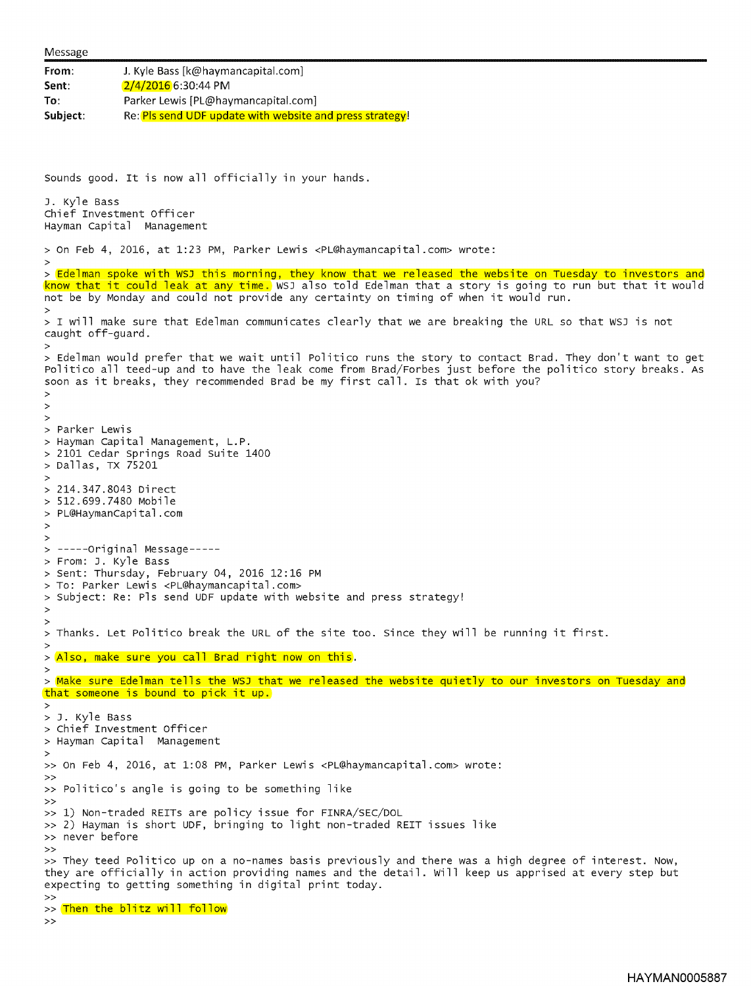```
Message
From: J. Kyle Bass [k@haymancapital.com]
Sent: 2/4/2016 6:30:44 PM
To: Parker Lewis [PL@haymancapital.com]
Subject: Re: Pls send UDF update with website and press strategy!
Sounds good. It is now all officially in your hands.
J. Kyle Bass
Chief Investment Officer
Hayman Capital Management
> On Feb 4, 2016, at 1:23 PM, Parker Lewis <PL@haymancapital.com> wrote:
• > Edelman spoke with WSJ this morning, they know that we released the website on Tuesday to investors and
know that it could leak at any time. WSJ also told Edelman that a story is going to run but that it would
not be by Monday and could not provide any certainty on timing of when it would run.
• > I will make sure that Edelman communicates clearly that we are breaking the URL so that WSJ is not
caught off-guard.
• > Edelman would prefer that we wait until Politico runs the story to contact Brad. They don't want to get
Politico all teed-up and to have the leak come from Brad/Forbes just before the politico story breaks. As
soon as it breaks, they recommended Brad be my first call. Is that ok with you?
\overline{ }\geq• > Parker Lewis
> Hayman Capital Management, L.P.
> 2101 Cedar Springs Road Suite 1400
> Dallas, TX 75201
• > 214.347.8043 Direct
> 512.699.7480 Mobile
> PL@HaymanCapital .com
\overline{ }><br>> -----Original Message-----
> From: J. Kyle Bass
> Sent: Thursday, February 04, 2016 12:16 PM
> To: Parker Lewis <PL@haymancapital.com>
> Subject: Re: Pls send UDF update with website and press strategy!
>
• > Thanks. Let Politico break the uRL of the site too. since they will be running it first.
><br>> <mark>Also, make sure you call Brad right now on this</mark>.
• > Make sure Edelman tells the WSJ that we released the website quietly to our investors on Tuesday and
that someone is bound to pick it up.
• > J. Kyle Bass
> Chief Investment Officer
> Hayman Capital Management
» On Feb 4, 2016, at 1:08 PM, Parker Lewis <PL@haymancapital.com> wrote:
>> Politico's angle is going to be something like<br>>>
• » 1) Non-traded REITs are policy issue for FINRA/SEC/DOL
» 2) Hayman is short UDF, bringing to light non-traded REIT issues like
» never before
» They teed Politico up on a no-names basis previously and there was a high degree of interest. Now,
they are officially in action providing names and the detail. Will keep us apprised at every step but
expecting to getting something in digital print today.
>><br>>> <mark>Then the blitz will follow</mark><br>>>
```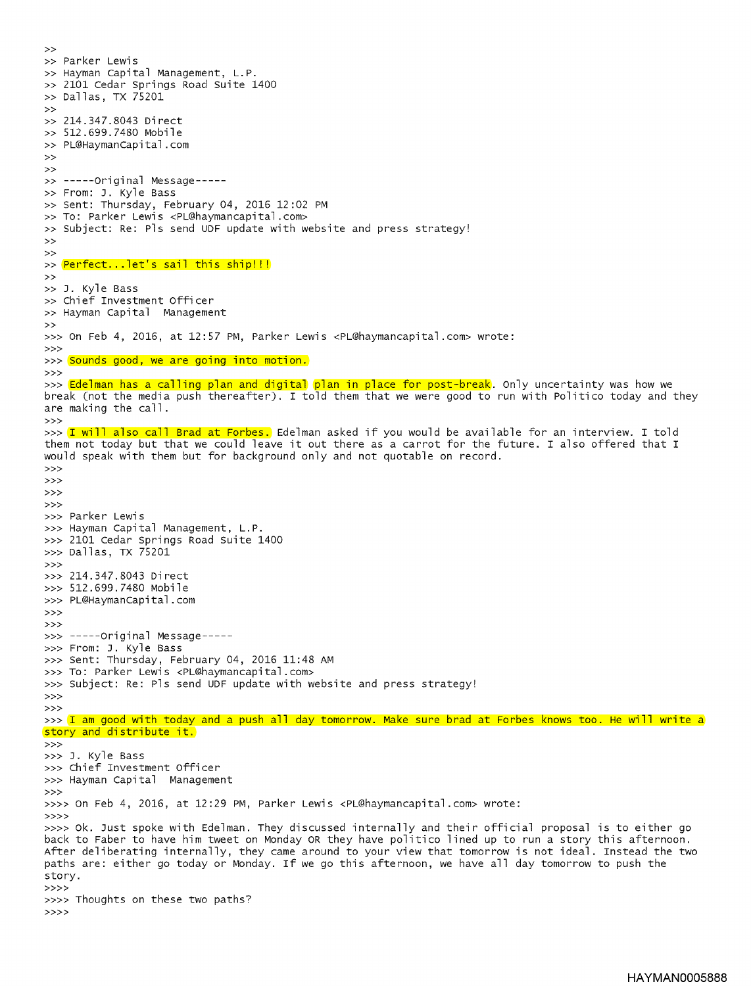>><br>>> Parker Lewis » Hayman Capital Management, L.P. » 2101 Cedar Springs Road Suite 1400 >> 2101 Cedar Springs<br>
>> 214.347.8043 Direct<br>
>> 214.347.8043 Direct<br>
>> 512.699.7480 Mobile >><br>>> 214.347.8043 Direct<br>>> 512.699.7480 Mobile » PL@HaymanCapital.com  $\rightarrow$  $\gg$  -----Original Message-----» From: J. Kyle Bass » Sent: Thursday, February 04, 2016 12:02 PM » To: Parker Lewis <PL@haymancapital.com> » Subject: Re: Pls send UDF update with website and press strategy! >><br>>> <mark>Perfect...let's sail this ship!!!</mark><br>>> » J. Kyle Bass » chief Investment officer » Hayman Capital Management >» On Feb 4, 2016, at 12:57 PM, Parker Lewis <PL@haymancapital.com> wrote: >» >>> Sounds good, we are going into motion. >» >>> Edelman has a calling plan and digital plan in place for post-break. Only uncertainty was how we break (not the media push thereafter). I told them that we were good to run with Politico today and they are making the call. >» >>> I will also call Brad at Forbes. Edelman asked if you would be available for an interview. I told them not today but that we could leave it out there as a carrot for the future. I also offered that I would speak with them but for background only and not quotable on record. >» >» >» >» >» Parker Lewis >» Hayman Capital Management, L.P. >» 2101 Cedar Springs Road Suite 1400 >» Dallas, TX 75201 >» >» 214.347.8043 Direct >» 512.699.7480 Mobile >» PL@HaymanCapital.com >» >» >>> -----Original Message----->» From: J. Kyle Bass >» sent: Thursday, February 04, 2016 11:48 AM >» To: Parker Lewis <PL@haymancapital.com> >» subject: Re: Pls send uDF update with website and press strategy! >» >» >>> I am good with today and a push all day tomorrow. Make sure brad at Forbes knows too. He will write a story and distribute it. >» >» J. Kyle Bass >» Chief Investment Officer >» Hayman Capital Management >» »» On Feb 4, 2016, at 12:29 PM, Parker Lewis <PL@haymancapital.com> wrote: >>» »» Ok. Just spoke with Edelman. They discussed internally and their official proposal is to either go back to Faber to have him tweet on Monday OR they have politico lined up to run a story this afternoon. After deliberating internally, they came around to your view that tomorrow is not ideal. Instead the two paths are: either go today or Monday. If we go this afternoon, we have all day tomorrow to push the story >>» >>>> Thoughts on these two paths?  $>>>>$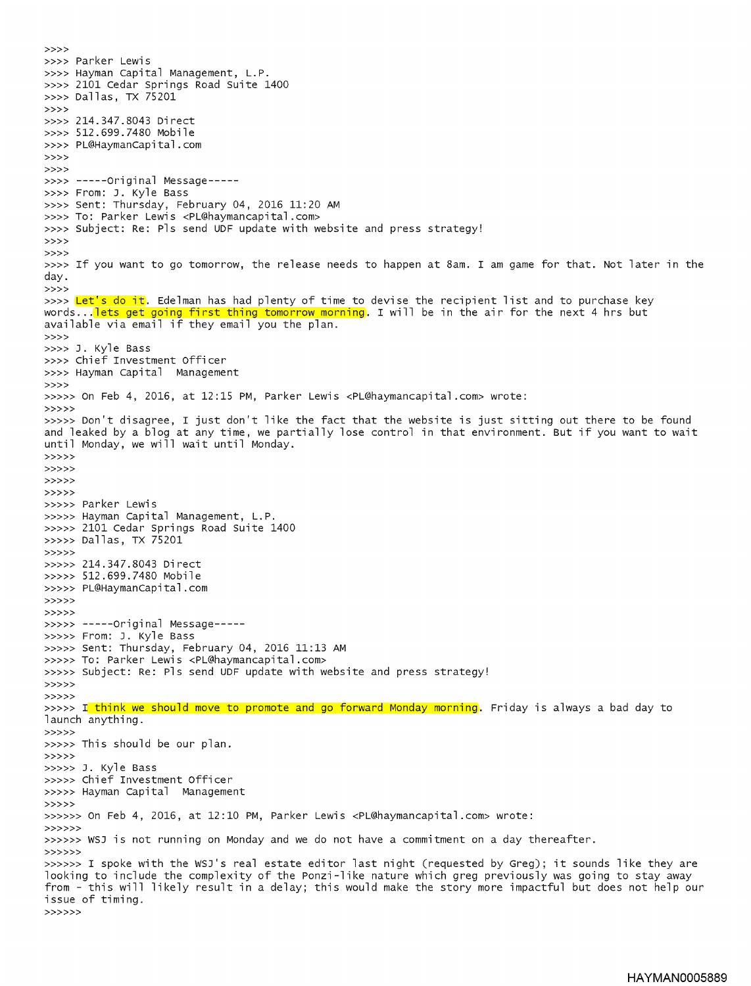>>» »» Parker Lewis >»> Hayman Capital Management, L.P. »» 2101 Cedar Springs Road Suite 1400 »» Dallas, TX 75201 >>» »» 214.347.8043 Direct >>» 512.699.7480 Mobile »» PL@HaymanCapital.com >>» >>»  $\rightarrow$  >>> -----Original Message-----»» From: J. Kyle Bass »» Sent: Thursday, February 04, 2016 11:20 AM »» To: Parker Lewis <PL@haymancapital .com> »» Subject: Re: Pls send UDF update with website and press strategy! >>» >>» »» If you want to go tomorrow, the release needs to happen at 8am. I am game for that. Not later in the day. >>» >>>> Let's do it. Edelman has had plenty of time to devise the recipient list and to purchase key words...<mark>lets get going first thing tomorrow morning</mark>. I will be in the air for the next 4 hrs but available via email if they email you the plan. >>» >>» J. Kyle Bass »» Chief Investment Officer »» Hayman Capital Management >>» >>>» On Feb 4, 2016, at 12:15 PM, Parker Lewis <PL@haymancapital .com> wrote: >>>» >»» Don't disagree, I just don't like the fact that the website is just sitting out there to be found and leaked by a blog at any time, we partially lose control in that environment. But if you want to wait until Monday, we will wait until Monday. >>>» >>>» >>>» >>>» >>>» Parker Lewis >>>» Hayman Capital Management, L.P. >>>» 2101 Cedar Springs Road Suite 1400 >>>» Dallas, TX 75201 >>>» >>>» 214.347.8043 Direct >>>» 512.699.7480 Mobile >>>» PL@HaymanCapital.com >>>» >>>» >>>» Original Message >>>» From: J. Kyle Bass >>>» Sent: Thursday, February 04, 2016 11:13 AM >>>» To: Parker Lewis <PL@haymancapital.com> >>>» Subject: Re: Pls send UDF update with website and press strategy! >>>» >>>» >>>>> I think we should move to promote and go forward Monday morning. Friday is always a bad day to launch anything. >>>» >»» This should be our plan. >>>» >»» J. Kyle Bass »»> Chief Investment Officer >»» Hayman Capital Management >>>» >>»» On Feb 4, 2016, at 12:10 PM, Parker Lewis <PL@haymancapital.com> wrote: >>>>» >>»» WSJ is not running on Monday and we do not have a commitment on a day thereafter. >>>>» >>»» I spoke with the WS3's real estate editor last night (requested by Greg); it sounds like they are looking to include the complexity of the Ponzi-like nature which greg previously was going to stay away from - this will likely result in a delay; this would make the story more impactful but does not help our issue of timing. >>>>»